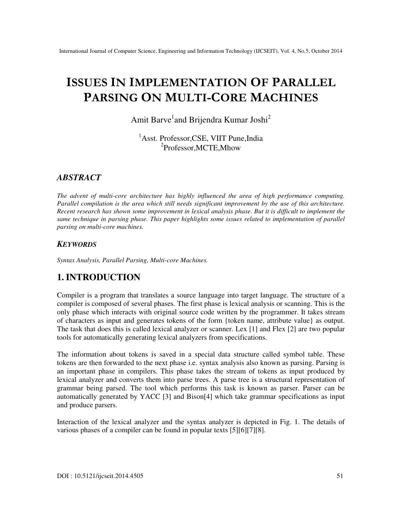# **ISSUES IN IMPLEMENTATION OF PARALLEL PARSING ON MULTI-CORE MACHINES**

Amit Barve<sup>1</sup>and Brijendra Kumar Joshi<sup>2</sup>

<sup>1</sup>Asst. Professor, CSE, VIIT Pune, India 2 Professor,MCTE,Mhow

#### *ABSTRACT*

*The advent of multi-core architecture has highly influenced the area of high performance computing. Parallel compilation is the area which still needs significant improvement by the use of this architecture. Recent research has shown some improvement in lexical analysis phase. But it is difficult to implement the same technique in parsing phase. This paper highlights some issues related to implementation of parallel parsing on multi-core machines.* 

#### *KEYWORDS*

*Syntax Analysis, Parallel Parsing, Multi-core Machines.* 

### **1. INTRODUCTION**

Compiler is a program that translates a source language into target language. The structure of a compiler is composed of several phases. The first phase is lexical analysis or scanning. This is the only phase which interacts with original source code written by the programmer. It takes stream of characters as input and generates tokens of the form {token name, attribute value} as output. The task that does this is called lexical analyzer or scanner. Lex [1] and Flex [2] are two popular tools for automatically generating lexical analyzers from specifications.

The information about tokens is saved in a special data structure called symbol table. These tokens are then forwarded to the next phase i.e. syntax analysis also known as parsing. Parsing is an important phase in compilers. This phase takes the stream of tokens as input produced by lexical analyzer and converts them into parse trees. A parse tree is a structural representation of grammar being parsed. The tool which performs this task is known as parser. Parser can be automatically generated by YACC [3] and Bison[4] which take grammar specifications as input and produce parsers.

Interaction of the lexical analyzer and the syntax analyzer is depicted in Fig. 1. The details of various phases of a compiler can be found in popular texts [5][6][7][8].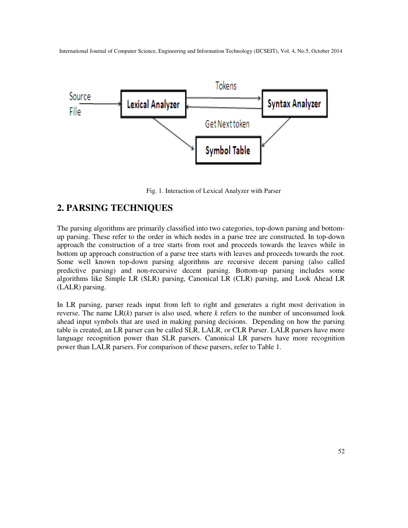

Fig. 1. Interaction of Lexical Analyzer with Parser

### **2. PARSING TECHNIQUES**

The parsing algorithms are primarily classified into two categories, top-down parsing and bottomup parsing. These refer to the order in which nodes in a parse tree are constructed. In top-down approach the construction of a tree starts from root and proceeds towards the leaves while in bottom up approach construction of a parse tree starts with leaves and proceeds towards the root. Some well known top-down parsing algorithms are recursive decent parsing (also called predictive parsing) and non-recursive decent parsing. Bottom-up parsing includes some algorithms like Simple LR (SLR) parsing, Canonical LR (CLR) parsing, and Look Ahead LR (LALR) parsing.

In LR parsing, parser reads input from left to right and generates a right most derivation in reverse. The name  $LR(k)$  parser is also used, where  $k$  refers to the number of unconsumed look ahead input symbols that are used in making parsing decisions. Depending on how the parsing table is created, an LR parser can be called SLR, LALR, or CLR Parser. LALR parsers have more language recognition power than SLR parsers. Canonical LR parsers have more recognition power than LALR parsers. For comparison of these parsers, refer to Table 1.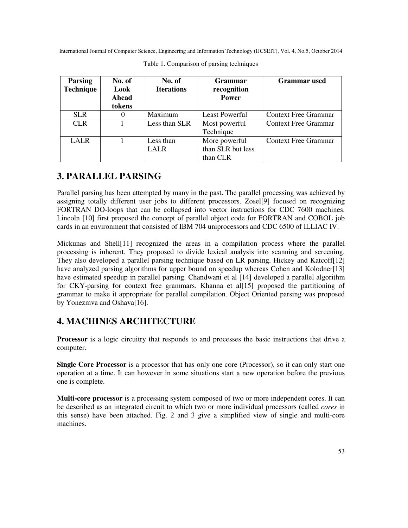| <b>Parsing</b><br><b>Technique</b> | No. of<br>Look<br>Ahead<br>tokens | No. of<br><b>Iterations</b> | <b>Grammar</b><br>recognition<br><b>Power</b>  | Grammar used                |
|------------------------------------|-----------------------------------|-----------------------------|------------------------------------------------|-----------------------------|
| <b>SLR</b>                         | $\theta$                          | Maximum                     | <b>Least Powerful</b>                          | <b>Context Free Grammar</b> |
| <b>CLR</b>                         |                                   | Less than SLR               | Most powerful<br>Technique                     | <b>Context Free Grammar</b> |
| <b>LALR</b>                        |                                   | Less than<br>LALR           | More powerful<br>than SLR but less<br>than CLR | <b>Context Free Grammar</b> |

Table 1. Comparison of parsing techniques

## **3. PARALLEL PARSING**

Parallel parsing has been attempted by many in the past. The parallel processing was achieved by assigning totally different user jobs to different processors. Zosel[9] focused on recognizing FORTRAN DO-loops that can be collapsed into vector instructions for CDC 7600 machines. Lincoln [10] first proposed the concept of parallel object code for FORTRAN and COBOL job cards in an environment that consisted of IBM 704 uniprocessors and CDC 6500 of ILLIAC IV.

Mickunas and Shell[11] recognized the areas in a compilation process where the parallel processing is inherent. They proposed to divide lexical analysis into scanning and screening. They also developed a parallel parsing technique based on LR parsing. Hickey and Katcoff[12] have analyzed parsing algorithms for upper bound on speedup whereas Cohen and Kolodner[13] have estimated speedup in parallel parsing. Chandwani et al [14] developed a parallel algorithm for CKY-parsing for context free grammars. Khanna et al[15] proposed the partitioning of grammar to make it appropriate for parallel compilation. Object Oriented parsing was proposed by Yonezmva and Oshava[16].

### **4. MACHINES ARCHITECTURE**

**Processor** is a logic circuitry that responds to and processes the basic instructions that drive a computer.

**Single Core Processor** is a processor that has only one core (Processor), so it can only start one operation at a time. It can however in some situations start a new operation before the previous one is complete.

**Multi-core processor** is a processing system composed of two or more independent cores. It can be described as an integrated circuit to which two or more individual processors (called *cores* in this sense) have been attached. Fig. 2 and 3 give a simplified view of single and multi-core machines.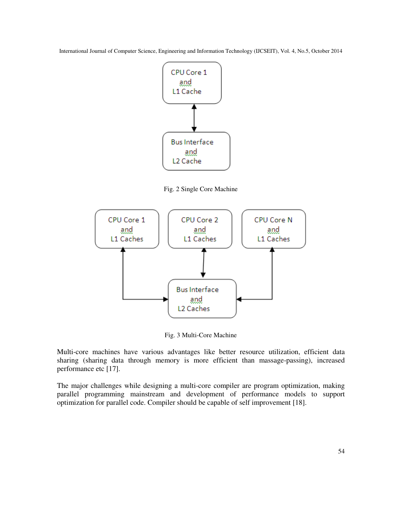

Fig. 2 Single Core Machine



Fig. 3 Multi-Core Machine

Multi-core machines have various advantages like better resource utilization, efficient data sharing (sharing data through memory is more efficient than massage-passing), increased performance etc [17].

The major challenges while designing a multi-core compiler are program optimization, making parallel programming mainstream and development of performance models to support optimization for parallel code. Compiler should be capable of self improvement [18].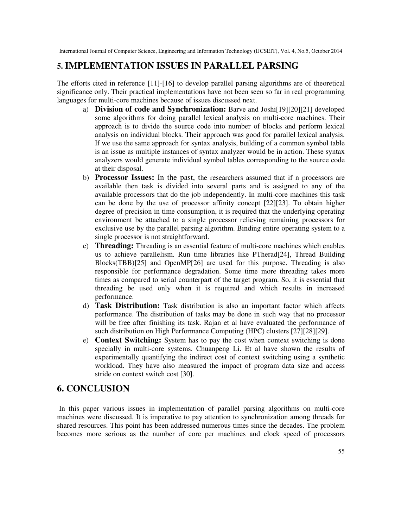#### **5. IMPLEMENTATION ISSUES IN PARALLEL PARSING**

The efforts cited in reference [11]-[16] to develop parallel parsing algorithms are of theoretical significance only. Their practical implementations have not been seen so far in real programming languages for multi-core machines because of issues discussed next.

- a) **Division of code and Synchronization:** Barve and Joshi[19][20][21] developed some algorithms for doing parallel lexical analysis on multi-core machines. Their approach is to divide the source code into number of blocks and perform lexical analysis on individual blocks. Their approach was good for parallel lexical analysis. If we use the same approach for syntax analysis, building of a common symbol table is an issue as multiple instances of syntax analyzer would be in action. These syntax analyzers would generate individual symbol tables corresponding to the source code at their disposal.
- b) **Processor Issues:** In the past, the researchers assumed that if n processors are available then task is divided into several parts and is assigned to any of the available processors that do the job independently. In multi-core machines this task can be done by the use of processor affinity concept [22][23]. To obtain higher degree of precision in time consumption, it is required that the underlying operating environment be attached to a single processor relieving remaining processors for exclusive use by the parallel parsing algorithm. Binding entire operating system to a single processor is not straightforward.
- c) **Threading:** Threading is an essential feature of multi-core machines which enables us to achieve parallelism. Run time libraries like PTherad[24], Thread Building Blocks(TBB)[25] and OpenMP[26] are used for this purpose. Threading is also responsible for performance degradation. Some time more threading takes more times as compared to serial counterpart of the target program. So, it is essential that threading be used only when it is required and which results in increased performance.
- d) **Task Distribution:** Task distribution is also an important factor which affects performance. The distribution of tasks may be done in such way that no processor will be free after finishing its task. Rajan et al have evaluated the performance of such distribution on High Performance Computing (HPC) clusters [27][28][29].
- e) **Context Switching:** System has to pay the cost when context switching is done specially in multi-core systems. Chuanpeng Li. Et al have shown the results of experimentally quantifying the indirect cost of context switching using a synthetic workload. They have also measured the impact of program data size and access stride on context switch cost [30].

### **6. CONCLUSION**

In this paper various issues in implementation of parallel parsing algorithms on multi-core machines were discussed. It is imperative to pay attention to synchronization among threads for shared resources. This point has been addressed numerous times since the decades. The problem becomes more serious as the number of core per machines and clock speed of processors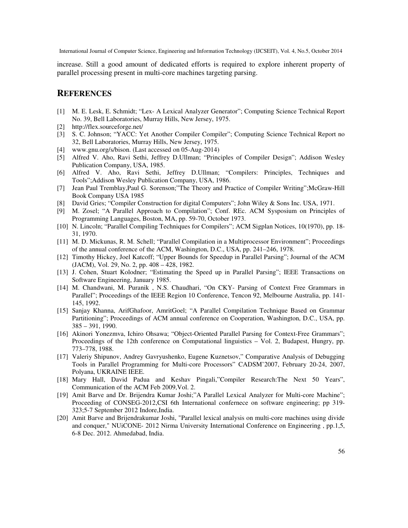increase. Still a good amount of dedicated efforts is required to explore inherent property of parallel processing present in multi-core machines targeting parsing.

#### **REFERENCES**

- [1] M. E. Lesk, E. Schmidt; "Lex- A Lexical Analyzer Generator"; Computing Science Technical Report No. 39, Bell Laboratories, Murray Hills, New Jersey, 1975.
- [2] http://flex.sourceforge.net/
- [3] S. C. Johnson; "YACC: Yet Another Compiler Compiler"; Computing Science Technical Report no 32, Bell Laboratories, Murray Hills, New Jersey, 1975.
- [4] www.gnu.org/s/bison. (Last accessed on 05-Aug-2014)
- [5] Alfred V. Aho, Ravi Sethi, Jeffrey D.Ullman; "Principles of Compiler Design"; Addison Wesley Publication Company, USA, 1985.
- [6] Alfred V. Aho, Ravi Sethi, Jeffrey D.Ullman; "Compilers: Principles, Techniques and Tools";Addison Wesley Publication Company, USA, 1986.
- [7] Jean Paul Tremblay,Paul G. Sorenson;"The Theory and Practice of Compiler Writing";McGraw-Hill Book Company USA 1985
- [8] David Gries; "Compiler Construction for digital Computers"; John Wiley & Sons Inc. USA, 1971.
- [9] M. Zosel; "A Parallel Approach to Compilation"; Conf. REc. ACM Sysposium on Principles of Programming Languages, Boston, MA, pp. 59-70, October 1973.
- [10] N. Lincoln; "Parallel Compiling Techniques for Compilers"; ACM Sigplan Notices, 10(1970), pp. 18- 31, 1970.
- [11] M. D. Mickunas, R. M. Schell; "Parallel Compilation in a Multiprocessor Environment"; Proceedings of the annual conference of the ACM, Washington, D.C., USA, pp. 241–246, 1978.
- [12] Timothy Hickey, Joel Katcoff; "Upper Bounds for Speedup in Parallel Parsing"; Journal of the ACM (JACM), Vol. 29, No. 2, pp. 408 – 428, 1982.
- [13] J. Cohen, Stuart Kolodner; "Estimating the Speed up in Parallel Parsing"; IEEE Transactions on Software Engineering, January 1985.
- [14] M. Chandwani, M. Puranik , N.S. Chaudhari, "On CKY- Parsing of Context Free Grammars in Parallel"; Proceedings of the IEEE Region 10 Conference, Tencon 92, Melbourne Australia, pp. 141- 145, 1992.
- [15] Sanjay Khanna, ArifGhafoor, AmritGoel; "A Parallel Compilation Technique Based on Grammar Partitioning"; Proceedings of ACM annual conference on Cooperation, Washington, D.C., USA, pp. 385 – 391, 1990.
- [16] Akinori Yonezmva, Ichiro Ohsawa; "Object-Oriented Parallel Parsing for Context-Free Grammars"; Proceedings of the 12th conference on Computational linguistics – Vol. 2, Budapest, Hungry, pp. 773–778, 1988.
- [17] Valeriy Shipunov, Andrey Gavryushenko, Eugene Kuznetsov," Comparative Analysis of Debugging Tools in Parallel Programming for Multi-core Processors" CADSM'2007, February 20-24, 2007, Polyana, UKRAINE IEEE.
- [18] Mary Hall, David Padua and Keshav Pingali,"Compiler Research:The Next 50 Years", Communication of the ACM Feb 2009,Vol. 2.
- [19] Amit Barve and Dr. Brijendra Kumar Joshi;"A Parallel Lexical Analyzer for Multi-core Machine"; Proceeding of CONSEG-2012,CSI 6th International confernece on software engineering; pp 319- 323;5-7 September 2012 Indore,India.
- [20] Amit Barve and Brijendrakumar Joshi, "Parallel lexical analysis on multi-core machines using divide and conquer," NUiCONE- 2012 Nirma University International Conference on Engineering , pp.1,5, 6-8 Dec. 2012. Ahmedabad, India.